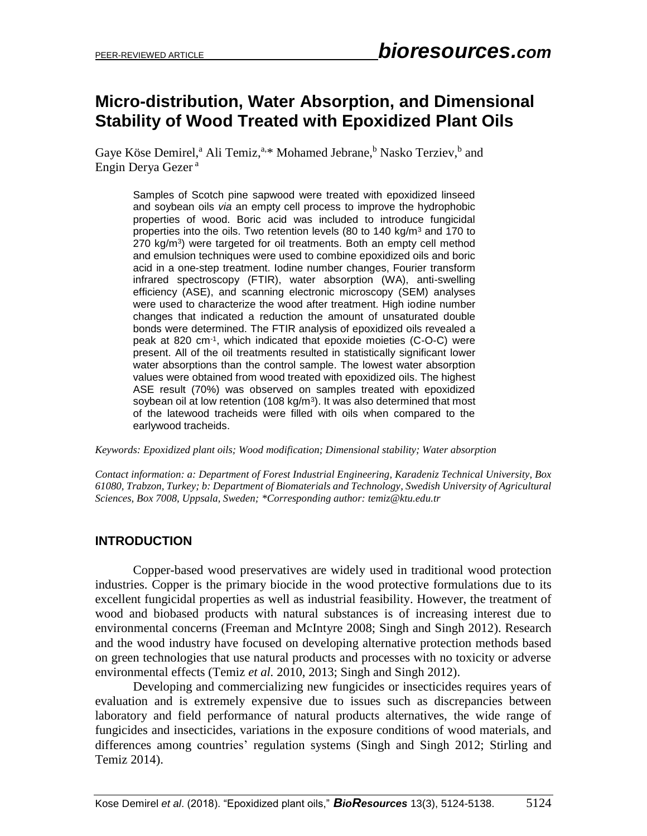# **Micro-distribution, Water Absorption, and Dimensional Stability of Wood Treated with Epoxidized Plant Oils**

Gaye Köse Demirel,<sup>a</sup> Ali Temiz,<sup>a,\*</sup> Mohamed Jebrane,<sup>b</sup> Nasko Terziev,<sup>b</sup> and Engin Derya Gezer <sup>a</sup>

Samples of Scotch pine sapwood were treated with epoxidized linseed and soybean oils *via* an empty cell process to improve the hydrophobic properties of wood. Boric acid was included to introduce fungicidal properties into the oils. Two retention levels (80 to 140 kg/m<sup>3</sup> and 170 to 270 kg/m<sup>3</sup>) were targeted for oil treatments. Both an empty cell method and emulsion techniques were used to combine epoxidized oils and boric acid in a one-step treatment. Iodine number changes, Fourier transform infrared spectroscopy (FTIR), water absorption (WA), anti-swelling efficiency (ASE), and scanning electronic microscopy (SEM) analyses were used to characterize the wood after treatment. High iodine number changes that indicated a reduction the amount of unsaturated double bonds were determined. The FTIR analysis of epoxidized oils revealed a peak at 820 cm-1 , which indicated that epoxide moieties (C-O-C) were present. All of the oil treatments resulted in statistically significant lower water absorptions than the control sample. The lowest water absorption values were obtained from wood treated with epoxidized oils. The highest ASE result (70%) was observed on samples treated with epoxidized soybean oil at low retention (108 kg/m<sup>3</sup>). It was also determined that most of the latewood tracheids were filled with oils when compared to the earlywood tracheids.

*Keywords: Epoxidized plant oils; Wood modification; Dimensional stability; Water absorption*

*Contact information: a: Department of Forest Industrial Engineering, Karadeniz Technical University, Box 61080, Trabzon, Turkey; b: Department of Biomaterials and Technology, Swedish University of Agricultural Sciences, Box 7008, Uppsala, Sweden; \*Corresponding author: temiz@ktu.edu.tr*

# **INTRODUCTION**

Copper-based wood preservatives are widely used in traditional wood protection industries. Copper is the primary biocide in the wood protective formulations due to its excellent fungicidal properties as well as industrial feasibility. However, the treatment of wood and biobased products with natural substances is of increasing interest due to environmental concerns (Freeman and McIntyre 2008; Singh and Singh 2012). Research and the wood industry have focused on developing alternative protection methods based on green technologies that use natural products and processes with no toxicity or adverse environmental effects (Temiz *et al.* 2010, 2013; Singh and Singh 2012).

Developing and commercializing new fungicides or insecticides requires years of evaluation and is extremely expensive due to issues such as discrepancies between laboratory and field performance of natural products alternatives, the wide range of fungicides and insecticides, variations in the exposure conditions of wood materials, and differences among countries' regulation systems (Singh and Singh 2012; Stirling and Temiz 2014).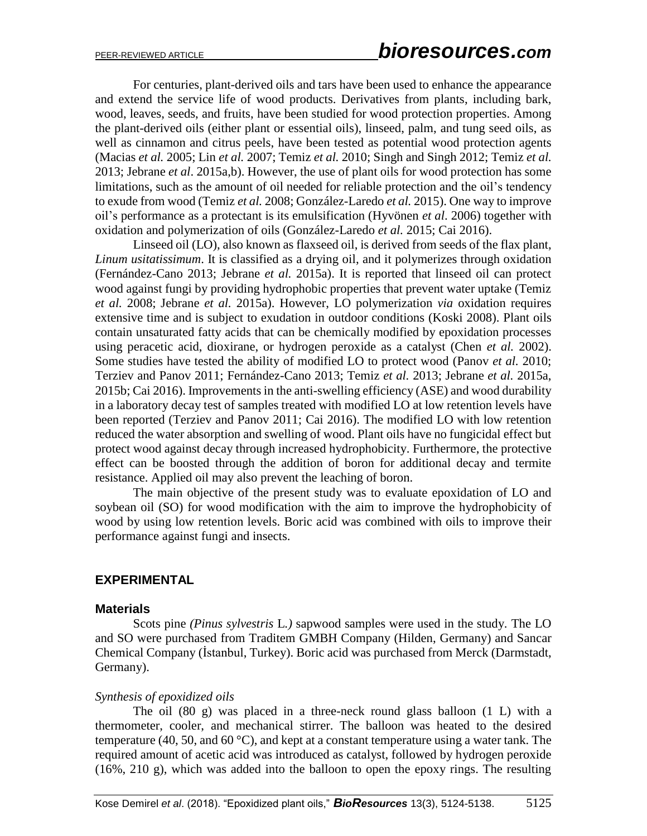For centuries, plant-derived oils and tars have been used to enhance the appearance and extend the service life of wood products. Derivatives from plants, including bark, wood, leaves, seeds, and fruits, have been studied for wood protection properties. Among the plant-derived oils (either plant or essential oils), linseed, palm, and tung seed oils, as well as cinnamon and citrus peels, have been tested as potential wood protection agents (Macias *et al.* 2005; Lin *et al.* 2007; Temiz *et al.* 2010; Singh and Singh 2012; Temiz *et al.*  2013; Jebrane *et al*. 2015a,b). However, the use of plant oils for wood protection has some limitations, such as the amount of oil needed for reliable protection and the oil's tendency to exude from wood (Temiz *et al.* 2008; González-Laredo *et al.* 2015). One way to improve oil's performance as a protectant is its emulsification (Hyvönen *et al*. 2006) together with oxidation and polymerization of oils (González-Laredo *et al.* 2015; Cai 2016).

Linseed oil (LO), also known as flaxseed oil, is derived from seeds of the flax plant, *Linum usitatissimum*. It is classified as a drying oil, and it polymerizes through oxidation (Fernández-Cano 2013; Jebrane *et al.* 2015a). It is reported that linseed oil can protect wood against fungi by providing hydrophobic properties that prevent water uptake (Temiz *et al.* 2008; Jebrane *et al.* 2015a). However, LO polymerization *via* oxidation requires extensive time and is subject to exudation in outdoor conditions (Koski 2008). Plant oils contain unsaturated fatty acids that can be chemically modified by epoxidation processes using peracetic acid, dioxirane, or hydrogen peroxide as a catalyst (Chen *et al.* 2002). Some studies have tested the ability of modified LO to protect wood (Panov *et al.* 2010; Terziev and Panov 2011; Fernández-Cano 2013; Temiz *et al.* 2013; Jebrane *et al.* 2015a, 2015b; Cai 2016). Improvements in the anti-swelling efficiency (ASE) and wood durability in a laboratory decay test of samples treated with modified LO at low retention levels have been reported (Terziev and Panov 2011; Cai 2016). The modified LO with low retention reduced the water absorption and swelling of wood. Plant oils have no fungicidal effect but protect wood against decay through increased hydrophobicity. Furthermore, the protective effect can be boosted through the addition of boron for additional decay and termite resistance. Applied oil may also prevent the leaching of boron.

The main objective of the present study was to evaluate epoxidation of LO and soybean oil (SO) for wood modification with the aim to improve the hydrophobicity of wood by using low retention levels. Boric acid was combined with oils to improve their performance against fungi and insects.

# **EXPERIMENTAL**

#### **Materials**

Scots pine *(Pinus sylvestris* L*.)* sapwood samples were used in the study. The LO and SO were purchased from Traditem GMBH Company (Hilden, Germany) and Sancar Chemical Company (İstanbul, Turkey). Boric acid was purchased from Merck (Darmstadt, Germany).

#### *Synthesis of epoxidized oils*

The oil (80 g) was placed in a three-neck round glass balloon (1 L) with a thermometer, cooler, and mechanical stirrer. The balloon was heated to the desired temperature (40, 50, and 60  $^{\circ}$ C), and kept at a constant temperature using a water tank. The required amount of acetic acid was introduced as catalyst, followed by hydrogen peroxide (16%, 210 g), which was added into the balloon to open the epoxy rings. The resulting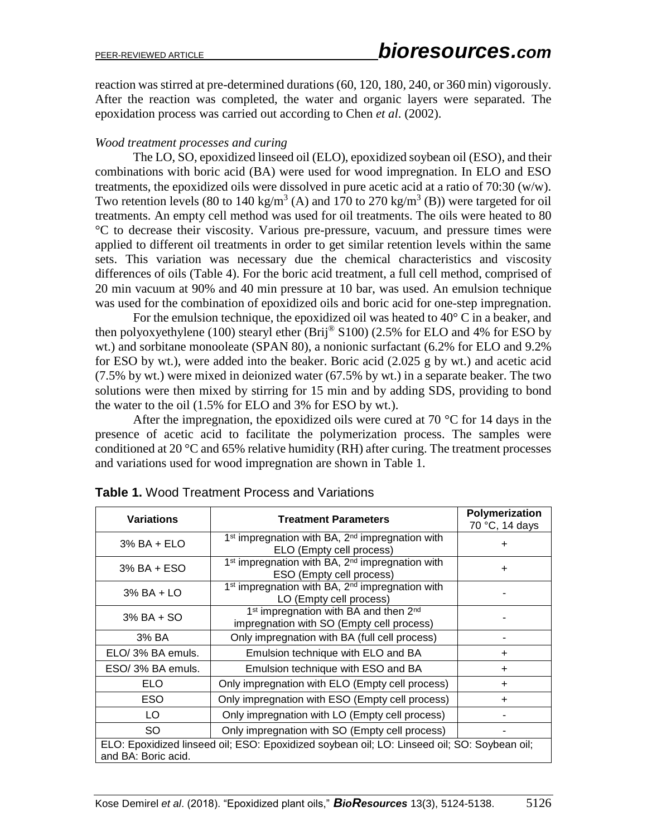reaction was stirred at pre-determined durations (60, 120, 180, 240, or 360 min) vigorously. After the reaction was completed, the water and organic layers were separated. The epoxidation process was carried out according to Chen *et al*. (2002).

## *Wood treatment processes and curing*

The LO, SO, epoxidized linseed oil (ELO), epoxidized soybean oil (ESO), and their combinations with boric acid (BA) were used for wood impregnation. In ELO and ESO treatments, the epoxidized oils were dissolved in pure acetic acid at a ratio of 70:30 (w/w). Two retention levels (80 to 140 kg/m<sup>3</sup> (A) and 170 to 270 kg/m<sup>3</sup> (B)) were targeted for oil treatments. An empty cell method was used for oil treatments. The oils were heated to 80 °C to decrease their viscosity. Various pre-pressure, vacuum, and pressure times were applied to different oil treatments in order to get similar retention levels within the same sets. This variation was necessary due the chemical characteristics and viscosity differences of oils (Table 4). For the boric acid treatment, a full cell method, comprised of 20 min vacuum at 90% and 40 min pressure at 10 bar, was used. An emulsion technique was used for the combination of epoxidized oils and boric acid for one-step impregnation.

For the emulsion technique, the epoxidized oil was heated to  $40^{\circ}$  C in a beaker, and then polyoxyethylene (100) stearyl ether (Brij<sup>®</sup> S100) (2.5% for ELO and 4% for ESO by wt.) and sorbitane monooleate (SPAN 80), a nonionic surfactant (6.2% for ELO and 9.2% for ESO by wt.), were added into the beaker. Boric acid (2.025 g by wt.) and acetic acid (7.5% by wt.) were mixed in deionized water (67.5% by wt.) in a separate beaker. The two solutions were then mixed by stirring for 15 min and by adding SDS, providing to bond the water to the oil (1.5% for ELO and 3% for ESO by wt.).

After the impregnation, the epoxidized oils were cured at 70  $\degree$ C for 14 days in the presence of acetic acid to facilitate the polymerization process. The samples were conditioned at 20  $\degree$ C and 65% relative humidity (RH) after curing. The treatment processes and variations used for wood impregnation are shown in Table 1.

| <b>Variations</b>                                                                                                  | <b>Treatment Parameters</b>                                             | Polymerization |  |  |  |  |  |  |  |
|--------------------------------------------------------------------------------------------------------------------|-------------------------------------------------------------------------|----------------|--|--|--|--|--|--|--|
|                                                                                                                    |                                                                         | 70 °C, 14 days |  |  |  |  |  |  |  |
| $3\%$ BA + ELO                                                                                                     | 1 <sup>st</sup> impregnation with BA, 2 <sup>nd</sup> impregnation with | +              |  |  |  |  |  |  |  |
|                                                                                                                    | ELO (Empty cell process)                                                |                |  |  |  |  |  |  |  |
| $3\%$ BA + ESO                                                                                                     | 1 <sup>st</sup> impregnation with BA, 2 <sup>nd</sup> impregnation with | $\ddot{}$      |  |  |  |  |  |  |  |
|                                                                                                                    | ESO (Empty cell process)                                                |                |  |  |  |  |  |  |  |
| $3\%$ BA + LO                                                                                                      | 1 <sup>st</sup> impregnation with BA, 2 <sup>nd</sup> impregnation with |                |  |  |  |  |  |  |  |
|                                                                                                                    | LO (Empty cell process)                                                 |                |  |  |  |  |  |  |  |
| $3\%$ BA + SO                                                                                                      | 1 <sup>st</sup> impregnation with BA and then 2 <sup>nd</sup>           |                |  |  |  |  |  |  |  |
|                                                                                                                    | impregnation with SO (Empty cell process)                               |                |  |  |  |  |  |  |  |
| 3% BA                                                                                                              | Only impregnation with BA (full cell process)                           |                |  |  |  |  |  |  |  |
| ELO/3% BA emuls.                                                                                                   | Emulsion technique with ELO and BA                                      | $\pm$          |  |  |  |  |  |  |  |
| ESO/3% BA emuls.                                                                                                   | Emulsion technique with ESO and BA                                      | ÷              |  |  |  |  |  |  |  |
| ELO.                                                                                                               | Only impregnation with ELO (Empty cell process)                         | $\ddot{}$      |  |  |  |  |  |  |  |
| <b>ESO</b>                                                                                                         | Only impregnation with ESO (Empty cell process)                         | +              |  |  |  |  |  |  |  |
| LO                                                                                                                 | Only impregnation with LO (Empty cell process)                          |                |  |  |  |  |  |  |  |
| SO.                                                                                                                | Only impregnation with SO (Empty cell process)                          |                |  |  |  |  |  |  |  |
| ELO: Epoxidized linseed oil; ESO: Epoxidized soybean oil; LO: Linseed oil; SO: Soybean oil;<br>and BA: Boric acid. |                                                                         |                |  |  |  |  |  |  |  |

**Table 1.** Wood Treatment Process and Variations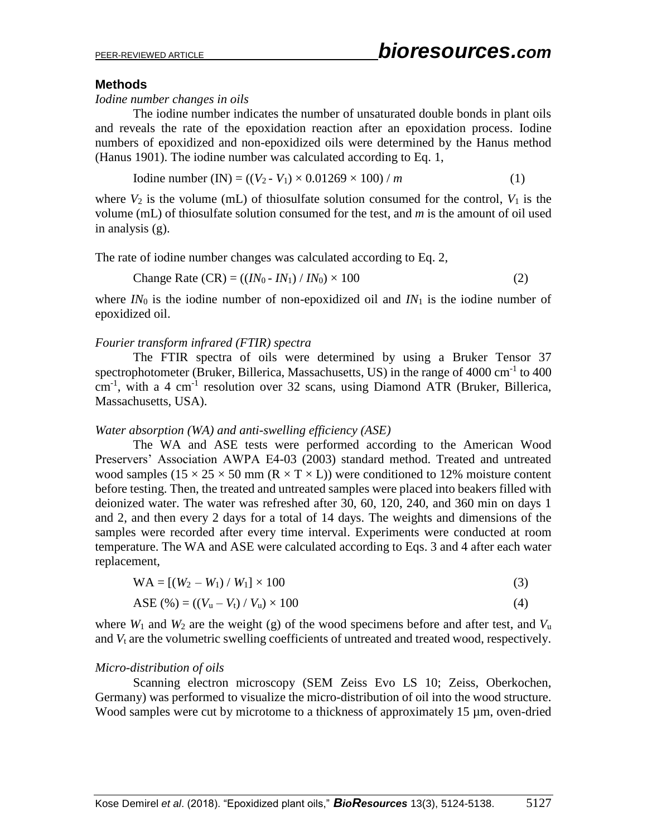## **Methods**

#### *Iodine number changes in oils*

The iodine number indicates the number of unsaturated double bonds in plant oils and reveals the rate of the epoxidation reaction after an epoxidation process. Iodine numbers of epoxidized and non-epoxidized oils were determined by the Hanus method (Hanus 1901). The iodine number was calculated according to Eq. 1,

Iodine number (IN) = 
$$
((V_2 - V_1) \times 0.01269 \times 100) / m
$$
 (1)

where  $V_2$  is the volume (mL) of thiosulfate solution consumed for the control,  $V_1$  is the volume (mL) of thiosulfate solution consumed for the test, and *m* is the amount of oil used in analysis (g).

The rate of iodine number changes was calculated according to Eq. 2,

Change Rate (CR) = 
$$
((IN_0 - IN_1) / IN_0) \times 100
$$
 (2)

where *IN*<sup>0</sup> is the iodine number of non-epoxidized oil and *IN*<sup>1</sup> is the iodine number of epoxidized oil.

#### *Fourier transform infrared (FTIR) spectra*

The FTIR spectra of oils were determined by using a Bruker Tensor 37 spectrophotometer (Bruker, Billerica, Massachusetts, US) in the range of  $4000 \text{ cm}^{-1}$  to  $400$ cm<sup>-1</sup>, with a 4 cm<sup>-1</sup> resolution over 32 scans, using Diamond ATR (Bruker, Billerica, Massachusetts, USA).

#### *Water absorption (WA) and anti-swelling efficiency (ASE)*

The WA and ASE tests were performed according to the American Wood Preservers' Association AWPA E4-03 (2003) standard method. Treated and untreated wood samples ( $15 \times 25 \times 50$  mm ( $R \times T \times L$ )) were conditioned to 12% moisture content before testing. Then, the treated and untreated samples were placed into beakers filled with deionized water. The water was refreshed after 30, 60, 120, 240, and 360 min on days 1 and 2, and then every 2 days for a total of 14 days. The weights and dimensions of the samples were recorded after every time interval. Experiments were conducted at room temperature. The WA and ASE were calculated according to Eqs. 3 and 4 after each water replacement,

$$
WA = [(W_2 - W_1) / W_1] \times 100
$$
\n(3)

$$
ASE (%) = ((Vu - Vt) / Vu) \times 100
$$
 (4)

where  $W_1$  and  $W_2$  are the weight (g) of the wood specimens before and after test, and  $V_u$ and  $V_t$  are the volumetric swelling coefficients of untreated and treated wood, respectively.

#### *Micro-distribution of oils*

Scanning electron microscopy (SEM Zeiss Evo LS 10; Zeiss, Oberkochen, Germany) was performed to visualize the micro-distribution of oil into the wood structure. Wood samples were cut by microtome to a thickness of approximately 15  $\mu$ m, oven-dried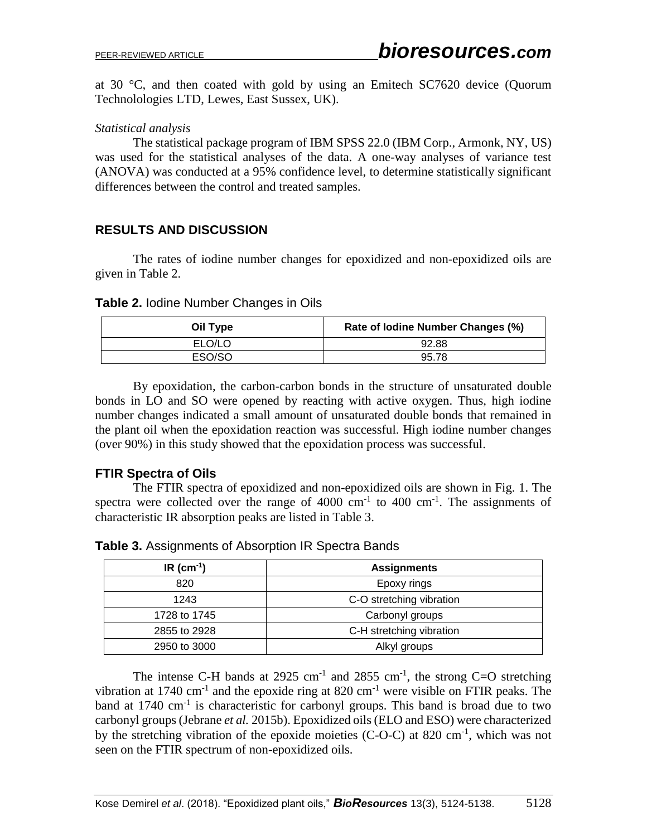at 30 °C, and then coated with gold by using an Emitech SC7620 device (Quorum Technolologies LTD, Lewes, East Sussex, UK).

## *Statistical analysis*

The statistical package program of IBM SPSS 22.0 (IBM Corp., Armonk, NY, US) was used for the statistical analyses of the data. A one-way analyses of variance test (ANOVA) was conducted at a 95% confidence level, to determine statistically significant differences between the control and treated samples.

# **RESULTS AND DISCUSSION**

The rates of iodine number changes for epoxidized and non-epoxidized oils are given in Table 2.

#### **Table 2.** Iodine Number Changes in Oils

| Oil Type | Rate of Iodine Number Changes (%) |
|----------|-----------------------------------|
| ELO/LO   | 92.88                             |
| ESO/SO   | 95.78                             |

By epoxidation, the carbon-carbon bonds in the structure of unsaturated double bonds in LO and SO were opened by reacting with active oxygen. Thus, high iodine number changes indicated a small amount of unsaturated double bonds that remained in the plant oil when the epoxidation reaction was successful. High iodine number changes (over 90%) in this study showed that the epoxidation process was successful.

# **FTIR Spectra of Oils**

The FTIR spectra of epoxidized and non-epoxidized oils are shown in Fig. 1. The spectra were collected over the range of  $4000 \text{ cm}^{-1}$  to  $400 \text{ cm}^{-1}$ . The assignments of characteristic IR absorption peaks are listed in Table 3.

| $IR$ (cm <sup>-1</sup> ) | <b>Assignments</b>       |
|--------------------------|--------------------------|
| 820                      | Epoxy rings              |
| 1243                     | C-O stretching vibration |
| 1728 to 1745             | Carbonyl groups          |
| 2855 to 2928             | C-H stretching vibration |
| 2950 to 3000             | Alkyl groups             |

**Table 3.** Assignments of Absorption IR Spectra Bands

The intense C-H bands at 2925 cm<sup>-1</sup> and 2855 cm<sup>-1</sup>, the strong C=O stretching vibration at 1740 cm<sup>-1</sup> and the epoxide ring at 820 cm<sup>-1</sup> were visible on FTIR peaks. The band at 1740  $\text{cm}^{-1}$  is characteristic for carbonyl groups. This band is broad due to two carbonyl groups (Jebrane *et al.* 2015b). Epoxidized oils (ELO and ESO) were characterized by the stretching vibration of the epoxide moieties (C-O-C) at 820 cm<sup>-1</sup>, which was not seen on the FTIR spectrum of non-epoxidized oils.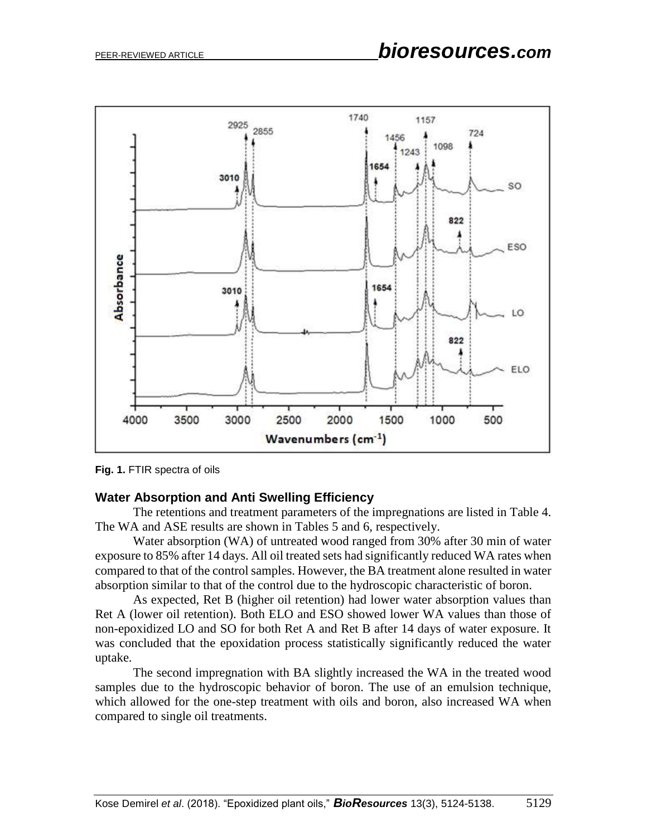

**Fig. 1.** FTIR spectra of oils

#### **Water Absorption and Anti Swelling Efficiency**

The retentions and treatment parameters of the impregnations are listed in Table 4. The WA and ASE results are shown in Tables 5 and 6, respectively.

Water absorption (WA) of untreated wood ranged from 30% after 30 min of water exposure to 85% after 14 days. All oil treated sets had significantly reduced WA rates when compared to that of the control samples. However, the BA treatment alone resulted in water absorption similar to that of the control due to the hydroscopic characteristic of boron.

As expected, Ret B (higher oil retention) had lower water absorption values than Ret A (lower oil retention). Both ELO and ESO showed lower WA values than those of non-epoxidized LO and SO for both Ret A and Ret B after 14 days of water exposure. It was concluded that the epoxidation process statistically significantly reduced the water uptake.

The second impregnation with BA slightly increased the WA in the treated wood samples due to the hydroscopic behavior of boron. The use of an emulsion technique, which allowed for the one-step treatment with oils and boron, also increased WA when compared to single oil treatments.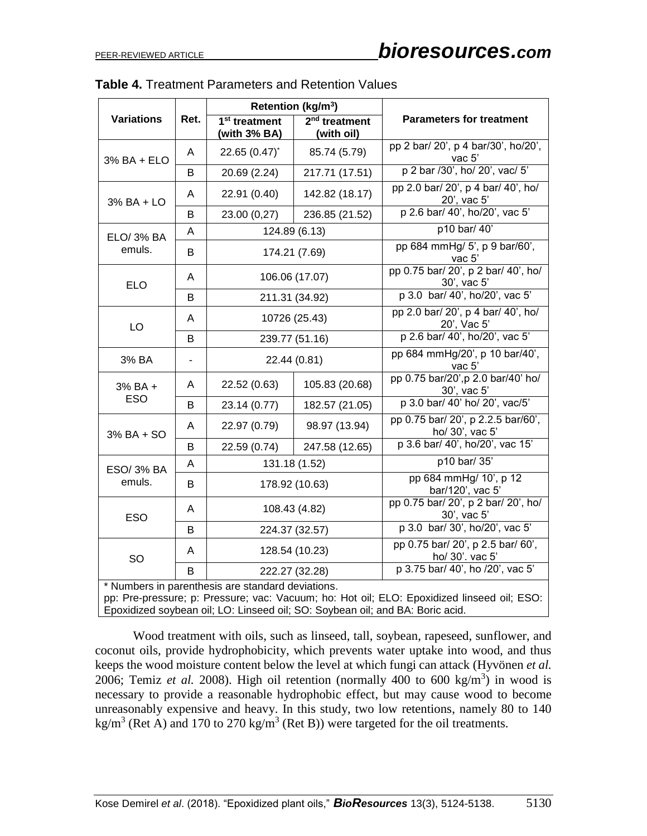|                   |      |                                                                            | Retention (kg/m <sup>3</sup> )                                                |                                                                                            |  |  |  |  |
|-------------------|------|----------------------------------------------------------------------------|-------------------------------------------------------------------------------|--------------------------------------------------------------------------------------------|--|--|--|--|
| <b>Variations</b> | Ret. | $2nd$ treatment<br>1 <sup>st</sup> treatment<br>(with 3% BA)<br>(with oil) |                                                                               | <b>Parameters for treatment</b>                                                            |  |  |  |  |
| 3% BA + ELO       | Α    | 22.65 $(0.47)^{*}$                                                         | 85.74 (5.79)                                                                  | pp 2 bar/ 20', p 4 bar/30', ho/20',<br>vac $5'$                                            |  |  |  |  |
|                   | B    | 20.69 (2.24)                                                               | 217.71 (17.51)                                                                | p 2 bar /30', ho/ 20', vac/ 5'                                                             |  |  |  |  |
| 3% BA + LO        | A    | 22.91 (0.40)                                                               | 142.82 (18.17)                                                                | pp 2.0 bar/ 20', p 4 bar/ 40', ho/<br>20', vac 5'                                          |  |  |  |  |
|                   | B    | 23.00 (0,27)                                                               | 236.85 (21.52)                                                                | p 2.6 bar/ 40', ho/20', vac 5'                                                             |  |  |  |  |
| ELO/ 3% BA        | A    |                                                                            | 124.89 (6.13)                                                                 | p10 bar/ 40'                                                                               |  |  |  |  |
| emuls.            | B    |                                                                            | 174.21 (7.69)                                                                 | pp 684 mmHg/ 5', p 9 bar/60',<br>vac 5'                                                    |  |  |  |  |
| <b>ELO</b>        | A    |                                                                            | 106.06 (17.07)                                                                | pp 0.75 bar/ 20', p 2 bar/ 40', ho/<br>30', vac 5'                                         |  |  |  |  |
|                   | В    |                                                                            | 211.31 (34.92)                                                                | p 3.0 bar/ 40', ho/20', vac 5'                                                             |  |  |  |  |
| LO                | A    |                                                                            | 10726 (25.43)                                                                 | pp 2.0 bar/ 20', p 4 bar/ 40', ho/<br>20', Vac 5'                                          |  |  |  |  |
|                   | B    |                                                                            | 239.77 (51.16)                                                                | p 2.6 bar/ 40', ho/20', vac 5'                                                             |  |  |  |  |
| 3% BA             |      |                                                                            | 22.44 (0.81)                                                                  | pp 684 mmHg/20', p 10 bar/40',<br>vac 5'                                                   |  |  |  |  |
| 3% BA +           | A    | 22.52 (0.63)                                                               | 105.83 (20.68)                                                                | pp 0.75 bar/20', p 2.0 bar/40' ho/<br>30', vac 5'                                          |  |  |  |  |
| <b>ESO</b>        | В    | 23.14 (0.77)                                                               | 182.57 (21.05)                                                                | p 3.0 bar/ 40' ho/ 20', vac/5'                                                             |  |  |  |  |
| 3% BA + SO        | Α    | 22.97 (0.79)                                                               | 98.97 (13.94)                                                                 | pp 0.75 bar/ 20', p 2.2.5 bar/60',<br>ho/ 30', vac 5'                                      |  |  |  |  |
|                   | B    | 22.59 (0.74)                                                               | 247.58 (12.65)                                                                | p 3.6 bar/ 40', ho/20', vac 15'                                                            |  |  |  |  |
| ESO/ 3% BA        | Α    |                                                                            | 131.18 (1.52)                                                                 | p10 bar/ 35'                                                                               |  |  |  |  |
| emuls.            | B    |                                                                            | 178.92 (10.63)                                                                | pp 684 mmHg/ 10', p 12<br>bar/120', vac 5'                                                 |  |  |  |  |
| <b>ESO</b>        | A    |                                                                            | 108.43 (4.82)                                                                 | pp 0.75 bar/ 20', p 2 bar/ 20', ho/<br>30', vac 5'                                         |  |  |  |  |
|                   | B    |                                                                            | 224.37 (32.57)                                                                | p 3.0 bar/ 30', ho/20', vac 5'                                                             |  |  |  |  |
| SO                | A    |                                                                            | 128.54 (10.23)                                                                | pp 0.75 bar/ 20', p 2.5 bar/ 60',<br>ho/ 30'. vac 5'                                       |  |  |  |  |
|                   | B    |                                                                            | 222.27 (32.28)                                                                | p 3.75 bar/ 40', ho /20', vac 5'                                                           |  |  |  |  |
|                   |      | * Numbers in parenthesis are standard deviations.                          | Epoxidized soybean oil; LO: Linseed oil; SO: Soybean oil; and BA: Boric acid. | pp: Pre-pressure; p: Pressure; vac: Vacuum; ho: Hot oil; ELO: Epoxidized linseed oil; ESO: |  |  |  |  |

|  | <b>Table 4. Treatment Parameters and Retention Values</b> |  |  |  |
|--|-----------------------------------------------------------|--|--|--|
|--|-----------------------------------------------------------|--|--|--|

Wood treatment with oils, such as linseed, tall, soybean, rapeseed, sunflower, and coconut oils, provide hydrophobicity, which prevents water uptake into wood, and thus keeps the wood moisture content below the level at which fungi can attack (Hyvönen *et al.*  2006; Temiz *et al.* 2008). High oil retention (normally 400 to 600 kg/m<sup>3</sup>) in wood is necessary to provide a reasonable hydrophobic effect, but may cause wood to become unreasonably expensive and heavy. In this study, two low retentions, namely 80 to 140 kg/m<sup>3</sup> (Ret A) and 170 to 270 kg/m<sup>3</sup> (Ret B)) were targeted for the oil treatments.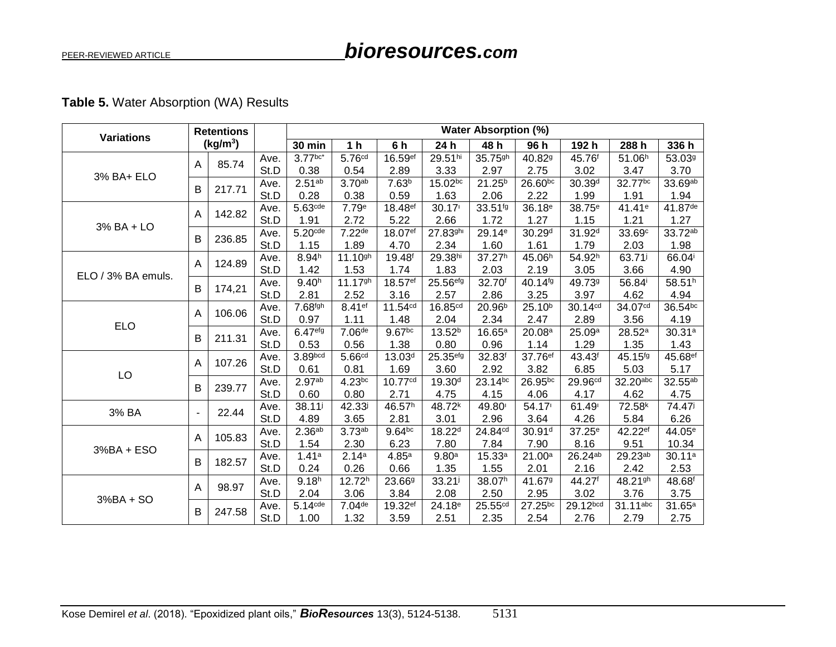# bioresources.com

# Table 5. Water Absorption (WA) Results

| <b>Retentions</b><br><b>Variations</b> |              |                      |      |                       | <b>Water Absorption (%)</b> |                     |                     |                     |                    |                     |                     |                    |
|----------------------------------------|--------------|----------------------|------|-----------------------|-----------------------------|---------------------|---------------------|---------------------|--------------------|---------------------|---------------------|--------------------|
|                                        |              | (kg/m <sup>3</sup> ) |      | <b>30 min</b>         | 1 <sub>h</sub>              | 6 h                 | 24 h                | 48 h                | 96 h               | 192 h               | 288 h               | 336 h              |
|                                        |              | 85.74                | Ave. | $3.77^{bc*}$          | 5.76 <sup>cd</sup>          | 16.59ef             | 29.51hi             | 35.75gh             | 40.829             | 45.76f              | 51.06 <sup>h</sup>  | 53.03 <sup>g</sup> |
|                                        | $\mathsf{A}$ |                      | St.D | 0.38                  | 0.54                        | 2.89                | 3.33                | 2.97                | 2.75               | 3.02                | 3.47                | 3.70               |
| 3% BA+ ELO                             | B            | 217.71               | Ave. | 2.51 <sup>ab</sup>    | 3.70 <sub>ab</sub>          | 7.63 <sup>b</sup>   | 15.02bc             | $21.25^{b}$         | 26.60bc            | 30.39 <sup>d</sup>  | 32.77bc             | 33.69ab            |
|                                        |              |                      | St.D | 0.28                  | 0.38                        | 0.59                | 1.63                | 2.06                | 2.22               | 1.99                | 1.91                | 1.94               |
|                                        | A            | 142.82               | Ave. | 5.63 <sub>cde</sub>   | 7.79 <sup>e</sup>           | 18.48 <sup>ef</sup> | 30.17               | 33.51fg             | 36.18 <sup>e</sup> | 38.75 <sup>e</sup>  | 41.41 <sup>e</sup>  | 41.87de            |
| 3% BA + LO                             |              |                      | St.D | 1.91                  | 2.72                        | 5.22                | 2.66                | 1.72                | 1.27               | 1.15                | 1.21                | 1.27               |
|                                        | B            | 236.85               | Ave. | $5.20$ <sup>cde</sup> | $7.22$ de                   | 18.07ef             | 27.83ghi            | 29.14 <sup>e</sup>  | 30.29 <sup>d</sup> | 31.92 <sup>d</sup>  | 33.69c              | 33.72ab            |
|                                        |              |                      | St.D | 1.15                  | 1.89                        | 4.70                | 2.34                | 1.60                | 1.61               | 1.79                | 2.03                | 1.98               |
|                                        | A            | 124.89               | Ave. | 8.94 <sup>h</sup>     | 11.10gh                     | 19.48 <sup>f</sup>  | 29.38hi             | 37.27h              | 45.06h             | 54.92h              | 63.71 <sup>j</sup>  | 66.04              |
| ELO / 3% BA emuls.                     |              |                      | St.D | 1.42                  | 1.53                        | 1.74                | 1.83                | 2.03                | 2.19               | 3.05                | 3.66                | 4.90               |
|                                        | B            | 174,21               | Ave. | 9.40 <sup>h</sup>     | 11.17 <sup>gh</sup>         | 18.57ef             | 25.56efg            | 32.70f              | 40.14fg            | 49.739              | 56.84               | 58.51h             |
|                                        |              |                      | St.D | 2.81                  | 2.52                        | 3.16                | 2.57                | 2.86                | 3.25               | 3.97                | 4.62                | 4.94               |
|                                        | A            | 106.06               | Ave. | 7.68fgh               | 8.41ef                      | 11.54cd             | 16.85 <sup>cd</sup> | 20.96 <sup>b</sup>  | 25.10 <sup>b</sup> | 30.14 <sup>cd</sup> | 34.07 <sup>cd</sup> | 36.54bc            |
| <b>ELO</b>                             |              |                      | St.D | 0.97                  | 1.11                        | 1.48                | 2.04                | 2.34                | 2.47               | 2.89                | 3.56                | 4.19               |
|                                        | B            | 211.31               | Ave. | 6.47efg               | 7.06de                      | 9.67bc              | 13.52 <sup>b</sup>  | $16.65^{\circ}$     | 20.08 <sup>a</sup> | 25.09a              | 28.52 <sup>a</sup>  | 30.31a             |
|                                        |              |                      | St.D | 0.53                  | 0.56                        | 1.38                | 0.80                | 0.96                | 1.14               | 1.29                | 1.35                | 1.43               |
|                                        | A            | 107.26               | Ave. | 3.89bcd               | 5.66 <sup>cd</sup>          | 13.03 <sup>d</sup>  | 25.35efg            | 32.83 <sup>f</sup>  | 37.76ef            | 43.43 <sup>f</sup>  | 45.15fg             | 45.68ef            |
| LO                                     |              |                      | St.D | 0.61                  | 0.81                        | 1.69                | 3.60                | 2.92                | 3.82               | 6.85                | 5.03                | 5.17               |
|                                        | B            | 239.77               | Ave. | 2.97ab                | $4.23^{bc}$                 | 10.77 <sup>cd</sup> | 19.30 <sup>d</sup>  | 23.14bc             | 26.95bc            | 29.96cd             | 32.20abc            | 32.55ab            |
|                                        |              |                      | St.D | 0.60                  | 0.80                        | 2.71                | 4.75                | 4.15                | 4.06               | 4.17                | 4.62                | 4.75               |
| 3% BA                                  |              | 22.44                | Ave. | $38.11^{j}$           | 42.33j                      | 46.57h              | 48.72k              | 49.80               | 54.17              | 61.49               | 72.58 <sup>k</sup>  | 74.47 <sup>j</sup> |
|                                        |              |                      | St.D | 4.89                  | 3.65                        | 2.81                | 3.01                | 2.96                | 3.64               | 4.26                | 5.84                | 6.26               |
|                                        | A            | 105.83               | Ave. | 2.36 <sup>ab</sup>    | 3.73ab                      | 9.64 <sub>bc</sub>  | 18.22 <sup>d</sup>  | 24.84cd             | 30.91 <sup>d</sup> | 37.25 <sup>e</sup>  | 42.22ef             | 44.05 <sup>e</sup> |
| $3%BA + ESO$                           |              |                      | St.D | 1.54                  | 2.30                        | 6.23                | 7.80                | 7.84                | 7.90               | 8.16                | 9.51                | 10.34              |
|                                        | B            | 182.57               | Ave. | 1.41a                 | 2.14a                       | 4.85a               | 9.80 <sup>a</sup>   | 15.33a              | 21.00 <sup>a</sup> | 26.24ab             | 29.23ab             | 30.11a             |
|                                        |              |                      | St.D | 0.24                  | 0.26                        | 0.66                | 1.35                | 1.55                | 2.01               | 2.16                | 2.42                | 2.53               |
|                                        | A            | 98.97                | Ave. | 9.18 <sup>h</sup>     | 12.72 <sup>h</sup>          | 23.66 <sup>g</sup>  | $33.21^{j}$         | 38.07h              | 41.679             | 44.27 <sup>f</sup>  | 48.21 <sup>gh</sup> | 48.68 <sup>f</sup> |
| $3%BA + SO$                            |              |                      | St.D | 2.04                  | 3.06                        | 3.84                | 2.08                | 2.50                | 2.95               | 3.02                | 3.76                | 3.75               |
|                                        | B            | 247.58               | Ave. | $5.14$ <sup>cde</sup> | $7.04$ <sup>de</sup>        | 19.32ef             | 24.18 <sup>e</sup>  | 25.55 <sup>cd</sup> | 27.25bc            | 29.12bcd            | $31.11$ abc         | 31.65a             |
|                                        |              |                      | St.D | 1.00                  | 1.32                        | 3.59                | 2.51                | 2.35                | 2.54               | 2.76                | 2.79                | 2.75               |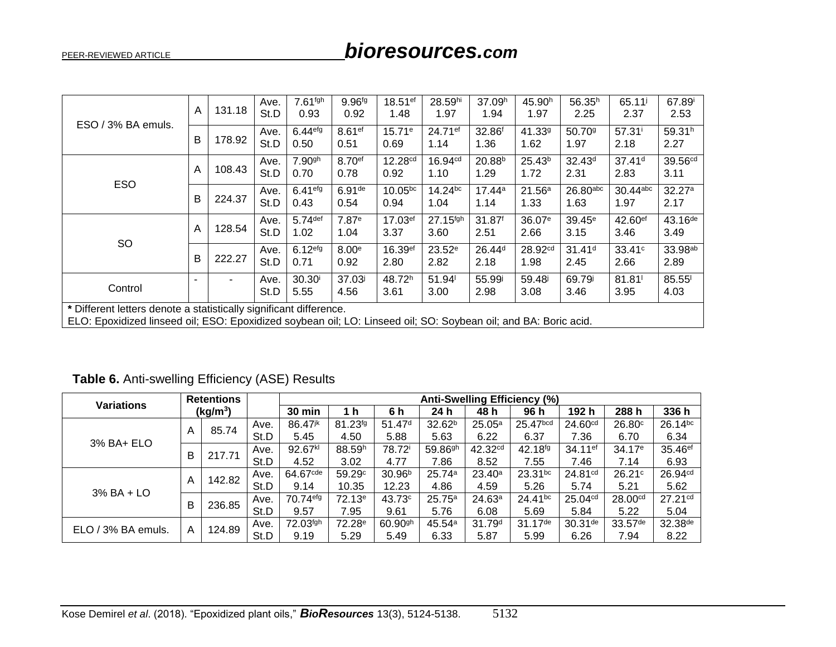|                                                                                                                                                                                       | A | 131.18 | Ave.<br>St.D | 7.61 <sup>fgh</sup><br>0.93 | 9.96fg<br>0.92             | 18.51ef<br>1.48             | 28.59hi<br>1.97      | 37.09h<br>1.94             | 45.90 <sup>h</sup><br>1.97 | 56.35 <sup>h</sup><br>2.25 | 65.11 <sup>j</sup><br>2.37    | 67.89<br>2.53               |
|---------------------------------------------------------------------------------------------------------------------------------------------------------------------------------------|---|--------|--------------|-----------------------------|----------------------------|-----------------------------|----------------------|----------------------------|----------------------------|----------------------------|-------------------------------|-----------------------------|
| ESO / 3% BA emuls.                                                                                                                                                                    | B | 178.92 | Ave.<br>St.D | 6.44 <sup>efg</sup><br>0.50 | 8.61 <sup>ef</sup><br>0.51 | 15.71e<br>0.69              | 24.71ef<br>1.14      | 32.86 <sup>f</sup><br>1.36 | 41.339<br>1.62             | 50.70 <sup>g</sup><br>1.97 | $57.31^{\circ}$<br>2.18       | 59.31h<br>2.27              |
|                                                                                                                                                                                       | A | 108.43 | Ave.<br>St.D | 7.90 <sup>gh</sup><br>0.70  | 8.70 <sup>ef</sup><br>0.78 | 12.28 <sup>cd</sup><br>0.92 | 16.94cd<br>1.10      | 20.88 <sup>b</sup><br>1.29 | $25.43^{b}$<br>1.72        | 32.43 <sup>d</sup><br>2.31 | 37.41 <sup>d</sup><br>2.83    | 39.56cd<br>3.11             |
| <b>ESO</b>                                                                                                                                                                            | B | 224.37 | Ave.<br>St.D | $6.41$ efg<br>0.43          | 6.91 <sup>de</sup><br>0.54 | 10.05bc<br>0.94             | $14.24^{bc}$<br>1.04 | 17.44a<br>1.14             | 21.56a<br>1.33             | $26.80$ abc<br>1.63        | $30.44$ abc<br>1.97           | 32.27a<br>2.17              |
|                                                                                                                                                                                       | A | 128.54 | Ave.<br>St.D | $5.74$ def<br>1.02          | 7.87 <sup>e</sup><br>1.04  | 17.03ef<br>3.37             | 27.15fgh<br>3.60     | 31.87 <sup>f</sup><br>2.51 | 36.07 <sup>e</sup><br>2.66 | $39.45^{\circ}$<br>3.15    | $42.60$ <sup>ef</sup><br>3.46 | $43.16^{de}$<br>3.49        |
| SO                                                                                                                                                                                    | В | 222.27 | Ave.<br>St.D | 6.12 <sup>efg</sup><br>0.71 | 8.00 <sup>e</sup><br>0.92  | 16.39ef<br>2.80             | $23.52^e$<br>2.82    | 26.44 <sup>d</sup><br>2.18 | 28.92cd<br>1.98            | 31.41 <sup>d</sup><br>2.45 | 33.41c<br>2.66                | 33.98 <sup>ab</sup><br>2.89 |
| Control                                                                                                                                                                               |   |        | Ave.<br>St.D | 30.30 <sup>i</sup><br>5.55  | 37.03<br>4.56              | 48.72h<br>3.61              | 51.94<br>3.00        | 55.99i<br>2.98             | 59.48<br>3.08              | 69.79<br>3.46              | $81.81$ <sup>1</sup><br>3.95  | 85.55<br>4.03               |
| * Different letters denote a statistically significant difference.<br>ELO: Epoxidized linseed oil; ESO: Epoxidized soybean oil; LO: Linseed oil; SO: Soybean oil; and BA: Boric acid. |   |        |              |                             |                            |                             |                      |                            |                            |                            |                               |                             |

Table 6. Anti-swelling Efficiency (ASE) Results

| <b>Variations</b>  | <b>Retentions</b><br>(kg/m <sup>3</sup> ) |        |      | <b>Anti-Swelling Efficiency (%)</b> |                    |                       |                       |                     |                       |                     |                       |                     |  |  |
|--------------------|-------------------------------------------|--------|------|-------------------------------------|--------------------|-----------------------|-----------------------|---------------------|-----------------------|---------------------|-----------------------|---------------------|--|--|
|                    |                                           |        |      | 30 min                              | 1 h                | 6 h                   | 24 h                  | 48 h                | 96 h                  | 192 h               | 288 h                 | 336 h               |  |  |
|                    |                                           | 85.74  | Ave. | 86.47 <sup>jk</sup>                 | 81.23fg            | 51.47 <sup>d</sup>    | 32.62 <sup>b</sup>    | 25.05a              | 25.47 <sub>bcd</sub>  | 24.60 <sup>cd</sup> | 26.80 <sup>c</sup>    | 26.14bc             |  |  |
|                    | Α                                         |        | St.D | 5.45                                | 4.50               | 5.88                  | 5.63                  | 6.22                | 6.37                  | 7.36                | 6.70                  | 6.34                |  |  |
| 3% BA+ ELO         | В                                         | 217.71 | Ave. | 92.67kl                             | 88.59 <sup>h</sup> | 78.72 <sup>i</sup>    | $59.86$ <sup>gh</sup> | 42.32 <sup>cd</sup> | $42.18^{fg}$          | 34.11 <sup>ef</sup> | 34.17 <sup>e</sup>    | 35.46 <sup>ef</sup> |  |  |
|                    |                                           |        | St.D | 4.52                                | 3.02               | 4.77                  | 7.86                  | 8.52                | 7.55                  | 7.46                | 7.14                  | 6.93                |  |  |
|                    |                                           | 142.82 | Ave. | $64.67$ <sup>cde</sup>              | 59.29c             | 30.96 <sup>b</sup>    | 25.74a                | $23.40^{\circ}$     | $23.31^{bc}$          | 24.81 <sup>cd</sup> | 26.21c                | 26.94cd             |  |  |
| $3\%$ BA + LO      | A                                         |        | St.D | 9.14                                | 10.35              | 12.23                 | 4.86                  | 4.59                | 5.26                  | 5.74                | 5.21                  | 5.62                |  |  |
|                    | B                                         |        | Ave. | 70.74 <sup>efg</sup>                | $72.13^e$          | 43.73 <sup>c</sup>    | 25.75a                | 24.63a              | 24.41bc               | 25.04 <sup>cd</sup> | 28.00 <sup>cd</sup>   | $27.21^{cd}$        |  |  |
|                    |                                           | 236.85 | St.D | 9.57                                | 7.95               | 9.61                  | 5.76                  | 6.08                | 5.69                  | 5.84                | 5.22                  | 5.04                |  |  |
| ELO / 3% BA emuls. |                                           | 124.89 | Ave. | 72.03fgh                            | 72.28 <sup>e</sup> | $60.90$ <sup>gh</sup> | 45.54a                | 31.79 <sup>d</sup>  | $31.17$ <sup>de</sup> | $30.31$ de          | $33.57$ <sup>de</sup> | 32.38 <sup>de</sup> |  |  |
|                    | A                                         |        | St.D | 9.19                                | 5.29               | 5.49                  | 6.33                  | 5.87                | 5.99                  | 6.26                | 7.94                  | 8.22                |  |  |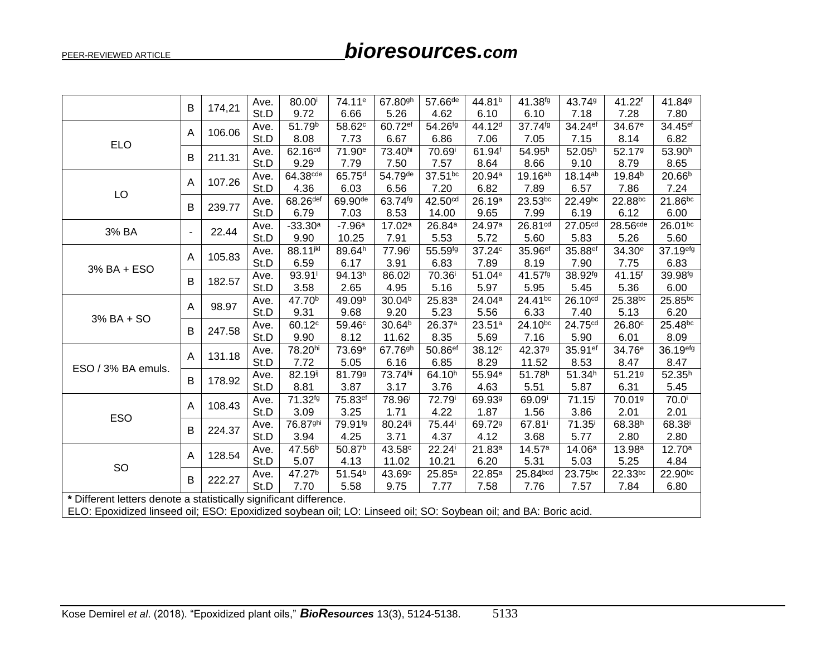# bioresources.com

|                                                                                                                 | В                        | 174,21 | Ave. | 80.00                | 74.11 <sup>e</sup> | 67.80gh             | $57.66^{de}$         | 44.81 <sup>b</sup> | 41.38fg            | 43.749              | 41.22 <sup>f</sup> | 41.849               |
|-----------------------------------------------------------------------------------------------------------------|--------------------------|--------|------|----------------------|--------------------|---------------------|----------------------|--------------------|--------------------|---------------------|--------------------|----------------------|
|                                                                                                                 |                          |        | St.D | 9.72                 | 6.66               | 5.26                | 4.62                 | 6.10               | 6.10               | 7.18                | 7.28               | 7.80                 |
|                                                                                                                 | A                        | 106.06 | Ave. | 51.79 <sup>b</sup>   | 58.62c             | 60.72ef             | 54.26fg              | 44.12 <sup>d</sup> | 37.74fg            | 34.24ef             | 34.67 <sup>e</sup> | 34.45ef              |
| <b>ELO</b>                                                                                                      |                          |        | St.D | 8.08                 | 7.73               | 6.67                | 6.86                 | 7.06               | 7.05               | 7.15                | 8.14               | 6.82                 |
|                                                                                                                 | Β                        | 211.31 | Ave. | 62.16 <sup>cd</sup>  | 71.90 <sup>e</sup> | 73.40hi             | 70.69 <sup>i</sup>   | 61.94 <sup>f</sup> | 54.95h             | 52.05 <sup>h</sup>  | 52.179             | 53.90h               |
|                                                                                                                 |                          |        | St.D | 9.29                 | 7.79               | 7.50                | 7.57                 | 8.64               | 8.66               | 9.10                | 8.79               | 8.65                 |
|                                                                                                                 | A                        | 107.26 | Ave. | 64.38 <sup>cde</sup> | 65.75 <sup>d</sup> | 54.79de             | 37.51bc              | 20.94 <sup>a</sup> | 19.16ab            | 18.14ab             | 19.84 <sup>b</sup> | 20.66 <sup>b</sup>   |
| LO                                                                                                              |                          |        | St.D | 4.36                 | 6.03               | 6.56                | 7.20                 | 6.82               | 7.89               | 6.57                | 7.86               | 7.24                 |
|                                                                                                                 | В                        | 239.77 | Ave. | 68.26 <sup>def</sup> | 69.90de            | 63.74fg             | 42.50cd              | 26.19a             | 23.53bc            | 22.49bc             | 22.88bc            | 21.86bc              |
|                                                                                                                 |                          |        | St.D | 6.79                 | 7.03               | 8.53                | 14.00                | 9.65               | 7.99               | 6.19                | 6.12               | 6.00                 |
| 3% BA                                                                                                           | $\overline{\phantom{a}}$ | 22.44  | Ave. | $-33.30a$            | $-7.96a$           | 17.02a              | 26.84 <sup>a</sup>   | 24.97 <sup>a</sup> | 26.81cd            | 27.05cd             | 28.56cde           | 26.01bc              |
|                                                                                                                 |                          |        | St.D | 9.90                 | 10.25              | 7.91                | 5.53                 | 5.72               | 5.60               | 5.83                | 5.26               | 5.60                 |
|                                                                                                                 | A                        | 105.83 | Ave. | 88.11jkl             | 89.64h             | 77.96 <sup>i</sup>  | 55.59fg              | 37.24c             | 35.96ef            | 35.88ef             | 34.30 <sup>e</sup> | 37.19 <sup>efg</sup> |
| 3% BA + ESO                                                                                                     |                          |        | St.D | 6.59                 | 6.17               | 3.91                | 6.83                 | 7.89               | 8.19               | 7.90                | 7.75               | 6.83                 |
|                                                                                                                 | в                        | 182.57 | Ave. | 93.91                | 94.13h             | 86.02               | 70.36 <sup>i</sup>   | 51.04 <sup>e</sup> | 41.57fg            | 38.92fg             | 41.15 <sup>f</sup> | 39.98fg              |
|                                                                                                                 |                          |        | St.D | 3.58                 | 2.65               | 4.95                | 5.16                 | 5.97               | 5.95               | 5.45                | 5.36               | 6.00                 |
|                                                                                                                 | A                        | 98.97  | Ave. | 47.70 <sup>b</sup>   | 49.09b             | 30.04 <sup>b</sup>  | 25.83a               | 24.04 <sup>a</sup> | 24.41bc            | 26.10 <sup>cd</sup> | 25.38bc            | 25.85bc              |
| 3% BA + SO                                                                                                      |                          |        | St.D | 9.31                 | 9.68               | 9.20                | 5.23                 | 5.56               | 6.33               | 7.40                | 5.13               | 6.20                 |
|                                                                                                                 | B                        | 247.58 | Ave. | 60.12 <sup>c</sup>   | 59.46 <sup>c</sup> | 30.64 <sup>b</sup>  | 26.37 <sup>a</sup>   | 23.51a             | 24.10bc            | 24.75cd             | 26.80°             | 25.48bc              |
|                                                                                                                 |                          |        | St.D | 9.90                 | 8.12               | 11.62               | 8.35                 | 5.69               | 7.16               | 5.90                | 6.01               | 8.09                 |
|                                                                                                                 | A                        | 131.18 | Ave. | 78.20hi              | 73.69 <sup>e</sup> | 67.76 <sup>gh</sup> | 50.86ef              | 38.12 <sup>c</sup> | 42.379             | 35.91ef             | 34.76 <sup>e</sup> | 36.19 <sup>efg</sup> |
| ESO / 3% BA emuls.                                                                                              |                          |        | St.D | 7.72                 | 5.05               | 6.16                | 6.85                 | 8.29               | 11.52              | 8.53                | 8.47               | 8.47                 |
|                                                                                                                 | В                        | 178.92 | Ave. | 82.19ij              | 81.79 <sup>g</sup> | 73.74hi             | 64.10h               | 55.94 <sup>e</sup> | 51.78 <sup>h</sup> | 51.34 <sup>h</sup>  | 51.219             | 52.35 <sup>h</sup>   |
|                                                                                                                 |                          |        | St.D | 8.81                 | 3.87               | 3.17                | 3.76                 | 4.63               | 5.51               | 5.87                | 6.31               | 5.45                 |
|                                                                                                                 | A                        | 108.43 | Ave. | 71.32fg              | 75.83ef            | 78.96 <sup>i</sup>  | 72.79i               | 69.93 <sup>g</sup> | 69.09 <sup>i</sup> | 71.15               | 70.01 <sup>9</sup> | 70.0 <sup>i</sup>    |
| ESO                                                                                                             |                          |        | St.D | 3.09                 | 3.25               | 1.71                | 4.22                 | 1.87               | 1.56               | 3.86                | 2.01               | 2.01                 |
|                                                                                                                 | В                        | 224.37 | Ave. | 76.87 <sup>ghi</sup> | 79.91fg            | 80.24ij             | 75.44 <sup>i</sup>   | 69.72 <sup>g</sup> | 67.81 <sup>i</sup> | $71.35^{\rm i}$     | 68.38h             | 68.38 <sup>i</sup>   |
|                                                                                                                 |                          |        | St.D | 3.94                 | 4.25               | 3.71                | 4.37                 | 4.12               | 3.68               | 5.77                | 2.80               | 2.80                 |
|                                                                                                                 | A                        | 128.54 | Ave. | 47.56 <sup>b</sup>   | 50.87 <sup>b</sup> | 43.58 <sup>c</sup>  | $22.24^{\mathrm{i}}$ | 21.83a             | 14.57a             | 14.06a              | 13.98a             | 12.70a               |
| SO                                                                                                              |                          |        | St.D | 5.07                 | 4.13               | 11.02               | 10.21                | 6.20               | 5.31               | 5.03                | 5.25               | 4.84                 |
|                                                                                                                 | В                        | 222.27 | Ave. | 47.27 <sup>b</sup>   | 51.54 <sup>b</sup> | 43.69c              | $25.85^{a}$          | 22.85a             | 25.84bcd           | 23.75bc             | 22.33bc            | 22.90bc              |
|                                                                                                                 |                          |        | St.D | 7.70                 | 5.58               | 9.75                | 7.77                 | 7.58               | 7.76               | 7.57                | 7.84               | 6.80                 |
| * Different letters denote a statistically significant difference.                                              |                          |        |      |                      |                    |                     |                      |                    |                    |                     |                    |                      |
| ELO: Epoxidized linseed oil; ESO: Epoxidized soybean oil; LO: Linseed oil; SO: Soybean oil; and BA: Boric acid. |                          |        |      |                      |                    |                     |                      |                    |                    |                     |                    |                      |

PEER-REVIEWED ARTICLE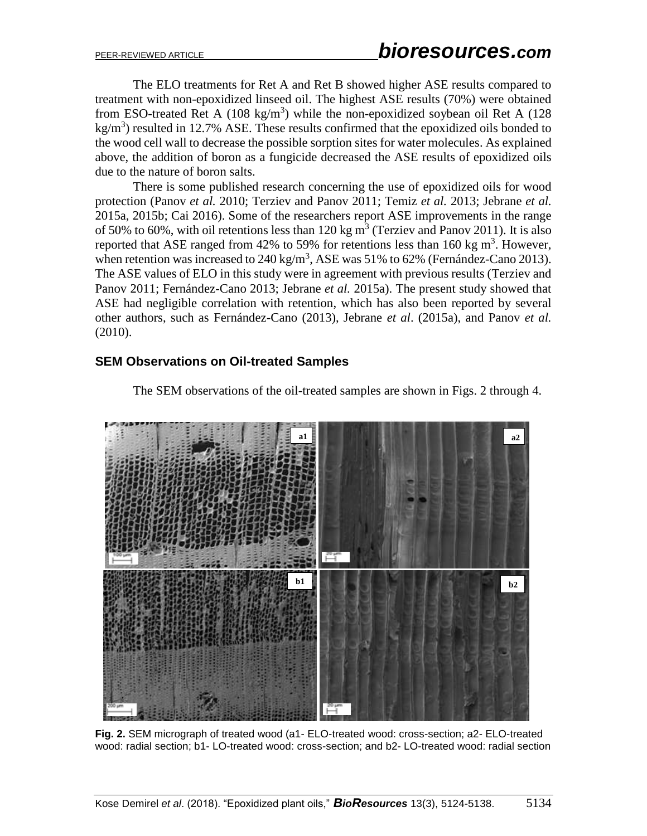The ELO treatments for Ret A and Ret B showed higher ASE results compared to treatment with non-epoxidized linseed oil. The highest ASE results (70%) were obtained from ESO-treated Ret A (108 kg/m<sup>3</sup>) while the non-epoxidized soybean oil Ret A (128  $kg/m<sup>3</sup>$ ) resulted in 12.7% ASE. These results confirmed that the epoxidized oils bonded to the wood cell wall to decrease the possible sorption sites for water molecules. As explained above, the addition of boron as a fungicide decreased the ASE results of epoxidized oils due to the nature of boron salts.

There is some published research concerning the use of epoxidized oils for wood protection (Panov *et al.* 2010; Terziev and Panov 2011; Temiz *et al.* 2013; Jebrane *et al.* 2015a, 2015b; Cai 2016). Some of the researchers report ASE improvements in the range of 50% to 60%, with oil retentions less than 120 kg  $m^3$  (Terziev and Panov 2011). It is also reported that ASE ranged from 42% to 59% for retentions less than 160 kg  $m<sup>3</sup>$ . However, when retention was increased to  $240 \text{ kg/m}^3$ , ASE was 51% to 62% (Fernández-Cano 2013). The ASE values of ELO in this study were in agreement with previous results (Terziev and Panov 2011; Fernández-Cano 2013; Jebrane *et al.* 2015a). The present study showed that ASE had negligible correlation with retention, which has also been reported by several other authors, such as Fernández-Cano (2013), Jebrane *et al*. (2015a), and Panov *et al.* (2010).

# **SEM Observations on Oil-treated Samples**



The SEM observations of the oil-treated samples are shown in Figs. 2 through 4.

**Fig. 2.** SEM micrograph of treated wood (a1- ELO-treated wood: cross-section; a2- ELO-treated wood: radial section; b1- LO-treated wood: cross-section; and b2- LO-treated wood: radial section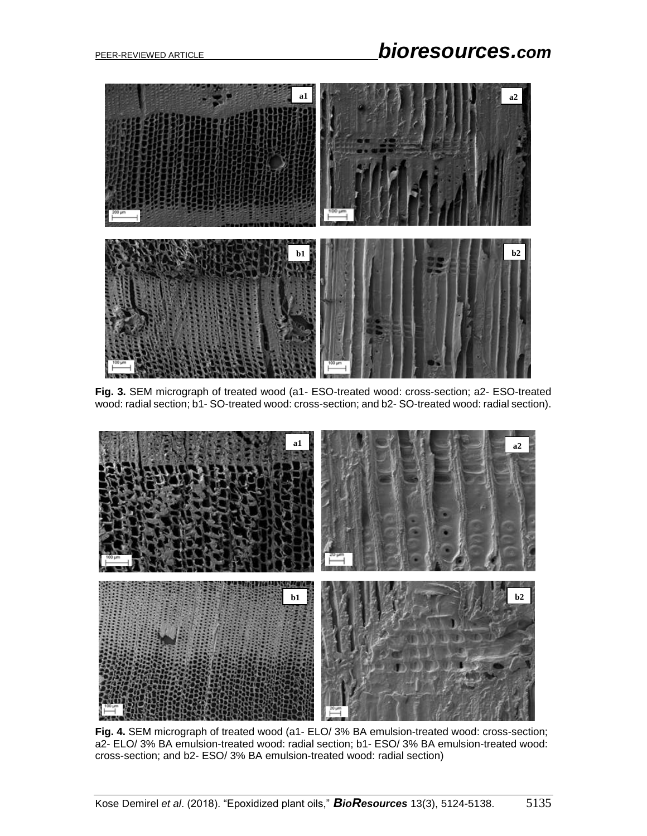

**Fig. 3.** SEM micrograph of treated wood (a1- ESO-treated wood: cross-section; a2- ESO-treated wood: radial section; b1- SO-treated wood: cross-section; and b2- SO-treated wood: radial section).



**Fig. 4.** SEM micrograph of treated wood (a1- ELO/ 3% BA emulsion-treated wood: cross-section; a2- ELO/ 3% BA emulsion-treated wood: radial section; b1- ESO/ 3% BA emulsion-treated wood: cross-section; and b2- ESO/ 3% BA emulsion-treated wood: radial section)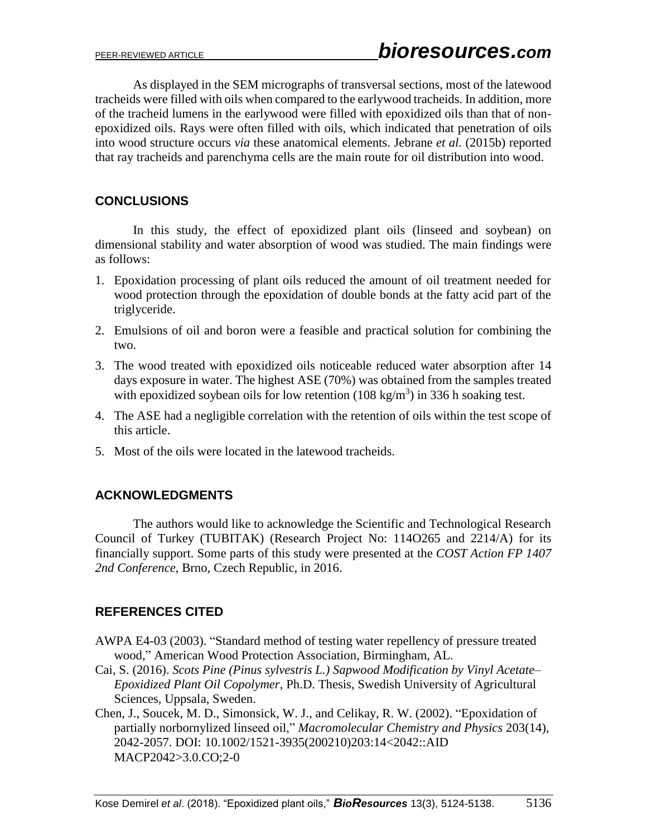As displayed in the SEM micrographs of transversal sections, most of the latewood tracheids were filled with oils when compared to the earlywood tracheids. In addition, more of the tracheid lumens in the earlywood were filled with epoxidized oils than that of nonepoxidized oils. Rays were often filled with oils, which indicated that penetration of oils into wood structure occurs *via* these anatomical elements. Jebrane *et al.* (2015b) reported that ray tracheids and parenchyma cells are the main route for oil distribution into wood.

# **CONCLUSIONS**

In this study, the effect of epoxidized plant oils (linseed and soybean) on dimensional stability and water absorption of wood was studied. The main findings were as follows:

- 1. Epoxidation processing of plant oils reduced the amount of oil treatment needed for wood protection through the epoxidation of double bonds at the fatty acid part of the triglyceride.
- 2. Emulsions of oil and boron were a feasible and practical solution for combining the two.
- 3. The wood treated with epoxidized oils noticeable reduced water absorption after 14 days exposure in water. The highest ASE (70%) was obtained from the samples treated with epoxidized soybean oils for low retention  $(108 \text{ kg/m}^3)$  in 336 h soaking test.
- 4. The ASE had a negligible correlation with the retention of oils within the test scope of this article.
- 5. Most of the oils were located in the latewood tracheids.

# **ACKNOWLEDGMENTS**

The authors would like to acknowledge the Scientific and Technological Research Council of Turkey (TUBITAK) (Research Project No: 114O265 and 2214/A) for its financially support. Some parts of this study were presented at the *COST Action FP 1407 2nd Conference*, Brno, Czech Republic, in 2016.

# **REFERENCES CITED**

- AWPA E4-03 (2003). "Standard method of testing water repellency of pressure treated wood," American Wood Protection Association, Birmingham, AL.
- Cai, S. (2016). *Scots Pine (Pinus sylvestris L.) Sapwood Modification by Vinyl Acetate– Epoxidized Plant Oil Copolymer*, Ph.D. Thesis, Swedish University of Agricultural Sciences, Uppsala, Sweden.
- Chen, J., Soucek, M. D., Simonsick, W. J., and Celikay, R. W. (2002). "Epoxidation of partially norbornylized linseed oil," *Macromolecular Chemistry and Physics* 203(14), 2042-2057. DOI: 10.1002/1521-3935(200210)203:14<2042::AID MACP2042>3.0.CO;2-0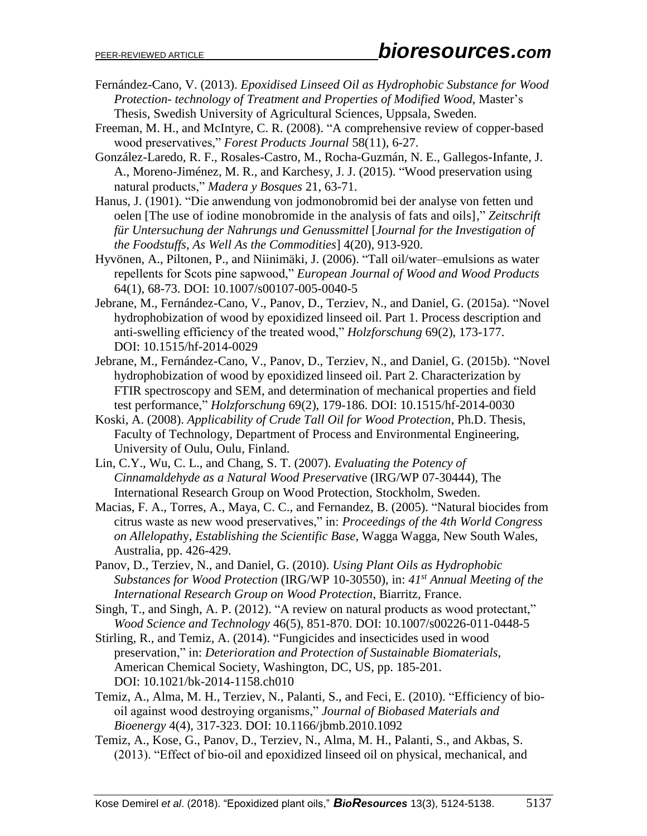- Fernández-Cano, V. (2013). *Epoxidised Linseed Oil as Hydrophobic Substance for Wood Protection- technology of Treatment and Properties of Modified Wood*, Master's Thesis, Swedish University of Agricultural Sciences, Uppsala, Sweden.
- Freeman, M. H., and McIntyre, C. R. (2008). "A comprehensive review of copper-based wood preservatives," *Forest Products Journal* 58(11), 6-27.
- González-Laredo, R. F., Rosales-Castro, M., Rocha-Guzmán, N. E., Gallegos-Infante, J. A., Moreno-Jiménez, M. R., and Karchesy, J. J. (2015). "Wood preservation using natural products," *Madera y Bosques* 21, 63-71.
- Hanus, J. (1901). "Die anwendung von jodmonobromid bei der analyse von fetten und oelen [The use of iodine monobromide in the analysis of fats and oils]," *Zeitschrift für Untersuchung der Nahrungs und Genussmittel* [*Journal for the Investigation of the Foodstuffs, As Well As the Commodities*] 4(20), 913-920.
- Hyvönen, A., Piltonen, P., and Niinimäki, J. (2006). "Tall oil/water–emulsions as water repellents for Scots pine sapwood," *European Journal of Wood and Wood Products* 64(1), 68-73. DOI: 10.1007/s00107-005-0040-5
- Jebrane, M., Fernández-Cano, V., Panov, D., Terziev, N., and Daniel, G. (2015a). "Novel hydrophobization of wood by epoxidized linseed oil. Part 1. Process description and anti-swelling efficiency of the treated wood," *Holzforschung* 69(2), 173-177. DOI: 10.1515/hf-2014-0029
- Jebrane, M., Fernández-Cano, V., Panov, D., Terziev, N., and Daniel, G. (2015b). "Novel hydrophobization of wood by epoxidized linseed oil. Part 2. Characterization by FTIR spectroscopy and SEM, and determination of mechanical properties and field test performance," *Holzforschung* 69(2), 179-186. DOI: 10.1515/hf-2014-0030
- Koski, A. (2008). *Applicability of Crude Tall Oil for Wood Protection*, Ph.D. Thesis, Faculty of Technology, Department of Process and Environmental Engineering, University of Oulu, Oulu, Finland.
- Lin, C.Y., Wu, C. L., and Chang, S. T. (2007). *Evaluating the Potency of Cinnamaldehyde as a Natural Wood Preservati*ve (IRG/WP 07-30444), The International Research Group on Wood Protection, Stockholm, Sweden.
- Macias, F. A., Torres, A., Maya, C. C., and Fernandez, B. (2005). "Natural biocides from citrus waste as new wood preservatives," in: *Proceedings of the 4th World Congress on Allelopath*y, *Establishing the Scientific Base*, Wagga Wagga, New South Wales, Australia, pp. 426-429.
- Panov, D., Terziev, N., and Daniel, G. (2010). *Using Plant Oils as Hydrophobic Substances for Wood Protection* (IRG/WP 10-30550), in: *41st Annual Meeting of the International Research Group on Wood Protection*, Biarritz, France.
- Singh, T., and Singh, A. P. (2012). "A review on natural products as wood protectant," *Wood Science and Technology* 46(5), 851-870. DOI: 10.1007/s00226-011-0448-5
- Stirling, R., and Temiz, A. (2014). "Fungicides and insecticides used in wood preservation," in: *Deterioration and Protection of Sustainable Biomaterials*, American Chemical Society, Washington, DC, US, pp. 185-201. DOI: 10.1021/bk-2014-1158.ch010
- Temiz, A., Alma, M. H., Terziev, N., Palanti, S., and Feci, E. (2010). "Efficiency of biooil against wood destroying organisms," *Journal of Biobased Materials and Bioenergy* 4(4), 317-323. DOI: 10.1166/jbmb.2010.1092
- Temiz, A., Kose, G., Panov, D., Terziev, N., Alma, M. H., Palanti, S., and Akbas, S. (2013). "Effect of bio-oil and epoxidized linseed oil on physical, mechanical, and